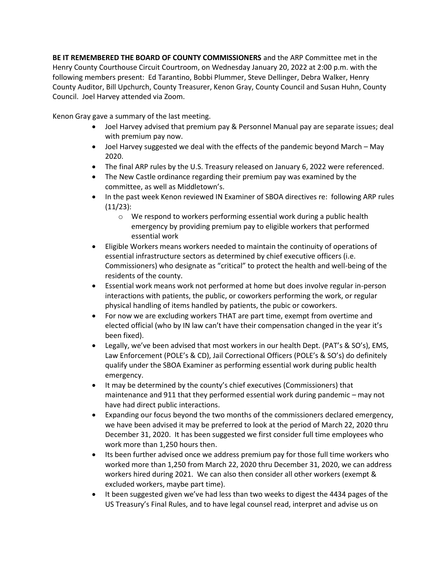**BE IT REMEMBERED THE BOARD OF COUNTY COMMISSIONERS** and the ARP Committee met in the Henry County Courthouse Circuit Courtroom, on Wednesday January 20, 2022 at 2:00 p.m. with the following members present: Ed Tarantino, Bobbi Plummer, Steve Dellinger, Debra Walker, Henry County Auditor, Bill Upchurch, County Treasurer, Kenon Gray, County Council and Susan Huhn, County Council. Joel Harvey attended via Zoom.

Kenon Gray gave a summary of the last meeting.

- Joel Harvey advised that premium pay & Personnel Manual pay are separate issues; deal with premium pay now.
- Joel Harvey suggested we deal with the effects of the pandemic beyond March May 2020.
- The final ARP rules by the U.S. Treasury released on January 6, 2022 were referenced.
- The New Castle ordinance regarding their premium pay was examined by the committee, as well as Middletown's.
- In the past week Kenon reviewed IN Examiner of SBOA directives re: following ARP rules (11/23):
	- o We respond to workers performing essential work during a public health emergency by providing premium pay to eligible workers that performed essential work
- Eligible Workers means workers needed to maintain the continuity of operations of essential infrastructure sectors as determined by chief executive officers (i.e. Commissioners) who designate as "critical" to protect the health and well-being of the residents of the county.
- Essential work means work not performed at home but does involve regular in-person interactions with patients, the public, or coworkers performing the work, or regular physical handling of items handled by patients, the pubic or coworkers.
- For now we are excluding workers THAT are part time, exempt from overtime and elected official (who by IN law can't have their compensation changed in the year it's been fixed).
- Legally, we've been advised that most workers in our health Dept. (PAT's & SO's), EMS, Law Enforcement (POLE's & CD), Jail Correctional Officers (POLE's & SO's) do definitely qualify under the SBOA Examiner as performing essential work during public health emergency.
- It may be determined by the county's chief executives (Commissioners) that maintenance and 911 that they performed essential work during pandemic – may not have had direct public interactions.
- Expanding our focus beyond the two months of the commissioners declared emergency, we have been advised it may be preferred to look at the period of March 22, 2020 thru December 31, 2020. It has been suggested we first consider full time employees who work more than 1,250 hours then.
- Its been further advised once we address premium pay for those full time workers who worked more than 1,250 from March 22, 2020 thru December 31, 2020, we can address workers hired during 2021. We can also then consider all other workers (exempt & excluded workers, maybe part time).
- It been suggested given we've had less than two weeks to digest the 4434 pages of the US Treasury's Final Rules, and to have legal counsel read, interpret and advise us on